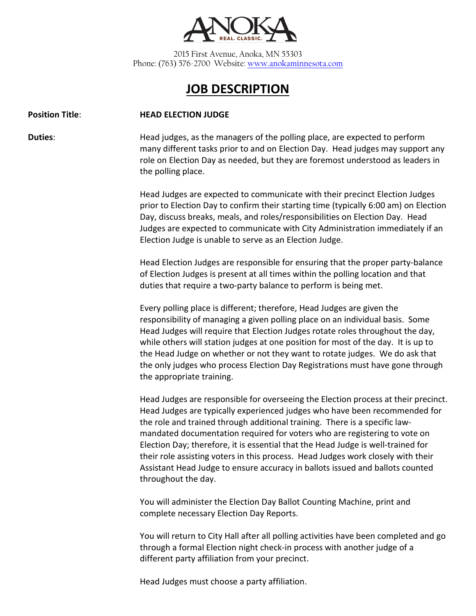

2015 First Avenue, Anoka, MN 55303 Phone: (763) 576-2700 Website[: www.anokaminnesota.com](http://www.anokaminnesota.com/)

## **JOB DESCRIPTION**

## **Position Title**: **HEAD ELECTION JUDGE**

**Duties:** Head judges, as the managers of the polling place, are expected to perform many different tasks prior to and on Election Day. Head judges may support any role on Election Day as needed, but they are foremost understood as leaders in the polling place.

> Head Judges are expected to communicate with their precinct Election Judges prior to Election Day to confirm their starting time (typically 6:00 am) on Election Day, discuss breaks, meals, and roles/responsibilities on Election Day. Head Judges are expected to communicate with City Administration immediately if an Election Judge is unable to serve as an Election Judge.

Head Election Judges are responsible for ensuring that the proper party-balance of Election Judges is present at all times within the polling location and that duties that require a two-party balance to perform is being met.

Every polling place is different; therefore, Head Judges are given the responsibility of managing a given polling place on an individual basis. Some Head Judges will require that Election Judges rotate roles throughout the day, while others will station judges at one position for most of the day. It is up to the Head Judge on whether or not they want to rotate judges. We do ask that the only judges who process Election Day Registrations must have gone through the appropriate training.

Head Judges are responsible for overseeing the Election process at their precinct. Head Judges are typically experienced judges who have been recommended for the role and trained through additional training. There is a specific lawmandated documentation required for voters who are registering to vote on Election Day; therefore, it is essential that the Head Judge is well-trained for their role assisting voters in this process. Head Judges work closely with their Assistant Head Judge to ensure accuracy in ballots issued and ballots counted throughout the day.

You will administer the Election Day Ballot Counting Machine, print and complete necessary Election Day Reports.

You will return to City Hall after all polling activities have been completed and go through a formal Election night check-in process with another judge of a different party affiliation from your precinct.

Head Judges must choose a party affiliation.